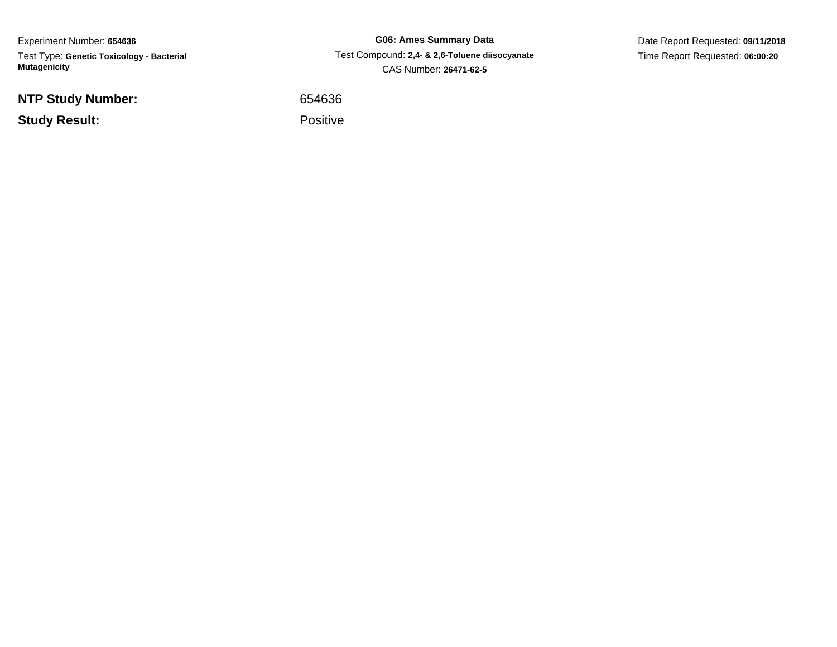Experiment Number: **654636** Test Type: **Genetic Toxicology - Bacterial Mutagenicity**

**NTP Study Number:**

**Study Result:**

**G06: Ames Summary Data** Test Compound: **2,4- & 2,6-Toluene diisocyanate**CAS Number: **26471-62-5**

Date Report Requested: **09/11/2018**Time Report Requested: **06:00:20**

<sup>654636</sup>

Positive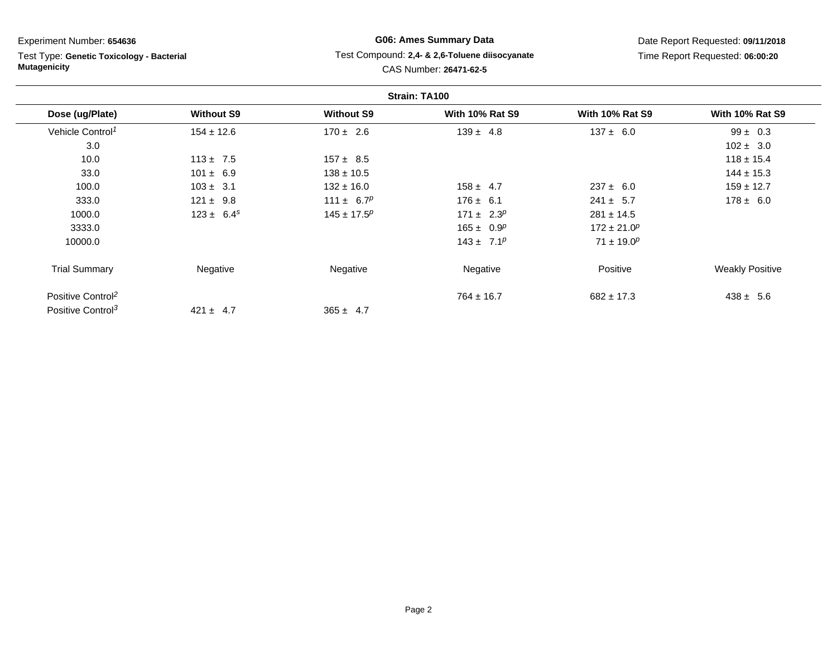Test Type: **Genetic Toxicology - Bacterial Mutagenicity**

# **G06: Ames Summary Data** Test Compound: **2,4- & 2,6-Toluene diisocyanate**CAS Number: **26471-62-5**

|                               |                   |                   | Strain: TA100          |                        |                        |
|-------------------------------|-------------------|-------------------|------------------------|------------------------|------------------------|
| Dose (ug/Plate)               | <b>Without S9</b> | <b>Without S9</b> | <b>With 10% Rat S9</b> | <b>With 10% Rat S9</b> | <b>With 10% Rat S9</b> |
| Vehicle Control <sup>1</sup>  | $154 \pm 12.6$    | $170 \pm 2.6$     | $139 \pm 4.8$          | $137 \pm 6.0$          | $99 \pm 0.3$           |
| 3.0                           |                   |                   |                        |                        | $102 \pm 3.0$          |
| 10.0                          | $113 \pm 7.5$     | $157 \pm 8.5$     |                        |                        | $118 \pm 15.4$         |
| 33.0                          | $101 \pm 6.9$     | $138 \pm 10.5$    |                        |                        | $144 \pm 15.3$         |
| 100.0                         | $103 \pm 3.1$     | $132 \pm 16.0$    | $158 \pm 4.7$          | $237 \pm 6.0$          | $159 \pm 12.7$         |
| 333.0                         | $121 \pm 9.8$     | 111 ± $6.7^p$     | $176 \pm 6.1$          | $241 \pm 5.7$          | $178 \pm 6.0$          |
| 1000.0                        | $123 \pm 6.4^s$   | $145 \pm 17.5^p$  | $171 \pm 2.3^p$        | $281 \pm 14.5$         |                        |
| 3333.0                        |                   |                   | $165 \pm 0.9^p$        | $172 \pm 21.0^p$       |                        |
| 10000.0                       |                   |                   | $143 \pm 7.1^p$        | $71 \pm 19.0^p$        |                        |
| <b>Trial Summary</b>          | Negative          | Negative          | Negative               | Positive               | <b>Weakly Positive</b> |
| Positive Control <sup>2</sup> |                   |                   | $764 \pm 16.7$         | $682 \pm 17.3$         | $438 \pm 5.6$          |
| Positive Control <sup>3</sup> | $421 \pm 4.7$     | $365 \pm 4.7$     |                        |                        |                        |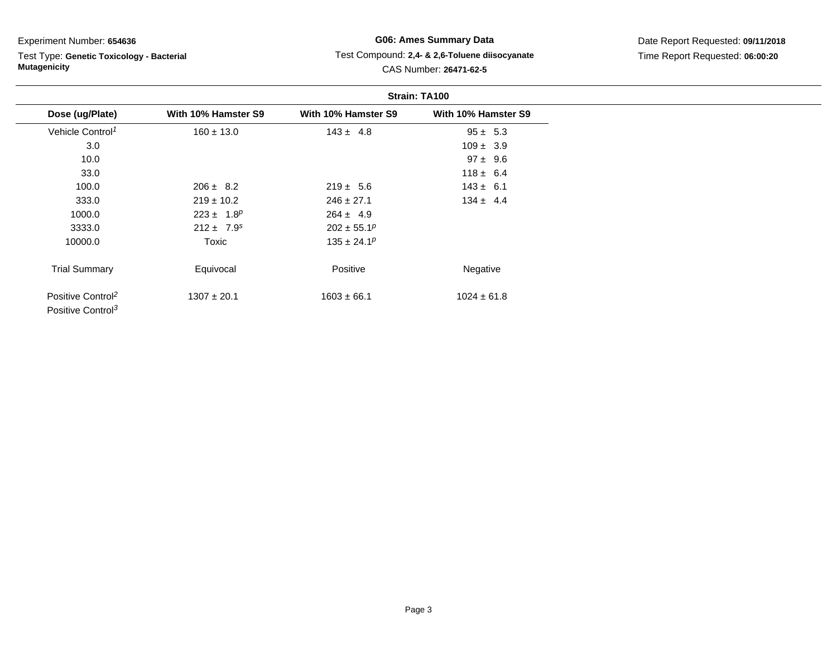#### Test Type: **Genetic Toxicology - Bacterial Mutagenicity**

# **G06: Ames Summary Data** Test Compound: **2,4- & 2,6-Toluene diisocyanate**CAS Number: **26471-62-5**

|                                                                |                            | Strain: TA100       |                     |  |
|----------------------------------------------------------------|----------------------------|---------------------|---------------------|--|
| Dose (ug/Plate)                                                | With 10% Hamster S9        | With 10% Hamster S9 | With 10% Hamster S9 |  |
| Vehicle Control <sup>1</sup>                                   | $160 \pm 13.0$             | $143 \pm 4.8$       | $95 \pm 5.3$        |  |
| 3.0                                                            |                            |                     | $109 \pm 3.9$       |  |
| 10.0                                                           |                            |                     | $97 \pm 9.6$        |  |
| 33.0                                                           |                            |                     | $118 \pm 6.4$       |  |
| 100.0                                                          | $206 \pm 8.2$              | $219 \pm 5.6$       | $143 \pm 6.1$       |  |
| 333.0                                                          | $219 \pm 10.2$             | $246 \pm 27.1$      | $134 \pm 4.4$       |  |
| 1000.0                                                         | $223 \pm 1.8^p$            | $264 \pm 4.9$       |                     |  |
| 3333.0                                                         | $212 \pm 7.9$ <sup>s</sup> | $202 \pm 55.1^p$    |                     |  |
| 10000.0                                                        | Toxic                      | $135 \pm 24.1^p$    |                     |  |
| <b>Trial Summary</b>                                           | Equivocal                  | Positive            | Negative            |  |
| Positive Control <sup>2</sup><br>Positive Control <sup>3</sup> | $1307 \pm 20.1$            | $1603 \pm 66.1$     | $1024 \pm 61.8$     |  |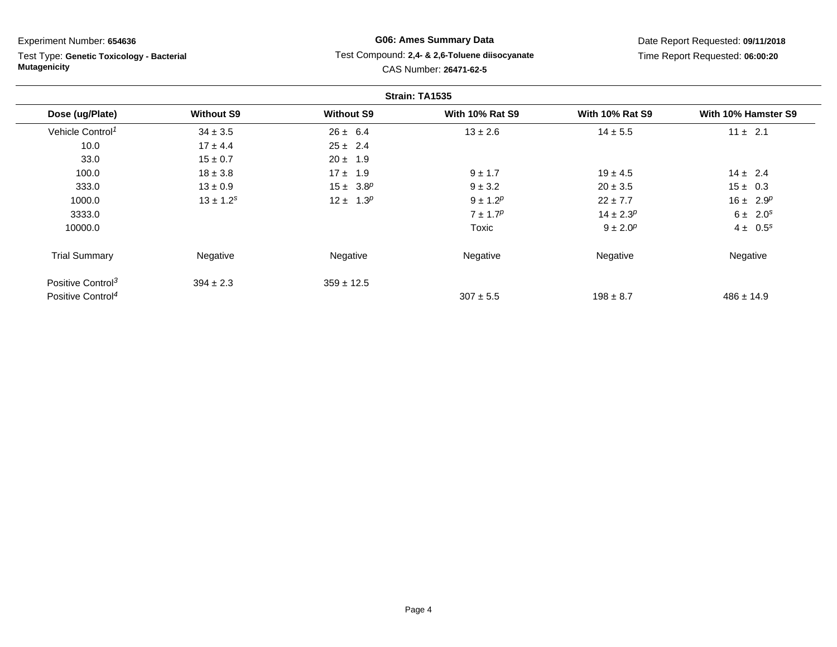Test Type: **Genetic Toxicology - Bacterial Mutagenicity**

# **G06: Ames Summary Data** Test Compound: **2,4- & 2,6-Toluene diisocyanate**CAS Number: **26471-62-5**

|                               |                   |                   | Strain: TA1535         |                        |                     |
|-------------------------------|-------------------|-------------------|------------------------|------------------------|---------------------|
| Dose (ug/Plate)               | <b>Without S9</b> | <b>Without S9</b> | <b>With 10% Rat S9</b> | <b>With 10% Rat S9</b> | With 10% Hamster S9 |
| Vehicle Control <sup>1</sup>  | $34 \pm 3.5$      | $26 \pm 6.4$      | $13 \pm 2.6$           | $14 \pm 5.5$           | $11 \pm 2.1$        |
| 10.0                          | $17 \pm 4.4$      | $25 \pm 2.4$      |                        |                        |                     |
| 33.0                          | $15 \pm 0.7$      | $20 \pm 1.9$      |                        |                        |                     |
| 100.0                         | $18 \pm 3.8$      | $17 \pm 1.9$      | $9 \pm 1.7$            | $19 \pm 4.5$           | $14 \pm 2.4$        |
| 333.0                         | $13 \pm 0.9$      | $15 \pm 3.8^p$    | $9 \pm 3.2$            | $20 \pm 3.5$           | $15 \pm 0.3$        |
| 1000.0                        | $13 \pm 1.2^s$    | $12 \pm 1.3^p$    | $9 \pm 1.2^p$          | $22 \pm 7.7$           | $16 \pm 2.9^p$      |
| 3333.0                        |                   |                   | $7 \pm 1.7^p$          | $14 \pm 2.3^p$         | $6 \pm 2.0^s$       |
| 10000.0                       |                   |                   | Toxic                  | $9 \pm 2.0^p$          | $4 \pm 0.5^s$       |
| <b>Trial Summary</b>          | Negative          | Negative          | Negative               | Negative               | Negative            |
| Positive Control <sup>3</sup> | $394 \pm 2.3$     | $359 \pm 12.5$    |                        |                        |                     |
| Positive Control <sup>4</sup> |                   |                   | $307 \pm 5.5$          | $198 \pm 8.7$          | $486 \pm 14.9$      |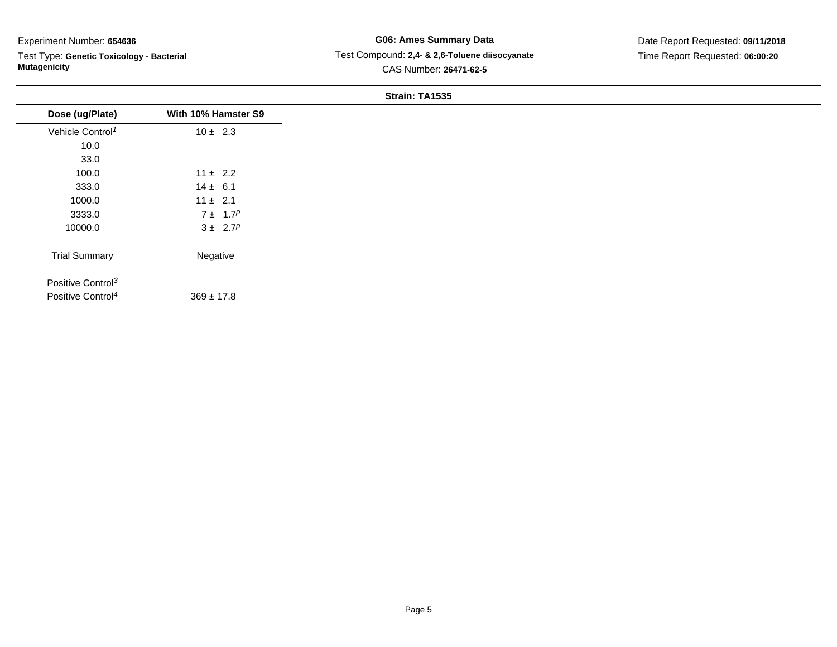Test Type: **Genetic Toxicology - Bacterial Mutagenicity**

# **G06: Ames Summary Data** Test Compound: **2,4- & 2,6-Toluene diisocyanate**CAS Number: **26471-62-5**

# Date Report Requested: **09/11/2018**Time Report Requested: **06:00:20**

#### **Strain: TA1535**

| Dose (ug/Plate)               | With 10% Hamster S9 |
|-------------------------------|---------------------|
| Vehicle Control <sup>1</sup>  | $10 \pm 2.3$        |
| 10.0                          |                     |
| 33.0                          |                     |
| 100.0                         | $11 \pm 2.2$        |
| 333.0                         | $14 \pm 6.1$        |
| 1000.0                        | $11 \pm 2.1$        |
| 3333.0                        | $7 \pm 1.7^p$       |
| 10000.0                       | $3 \pm 2.7^p$       |
| <b>Trial Summary</b>          | Negative            |
|                               |                     |
| Positive Control <sup>3</sup> |                     |
| Positive Control <sup>4</sup> | $369 \pm 17.8$      |
|                               |                     |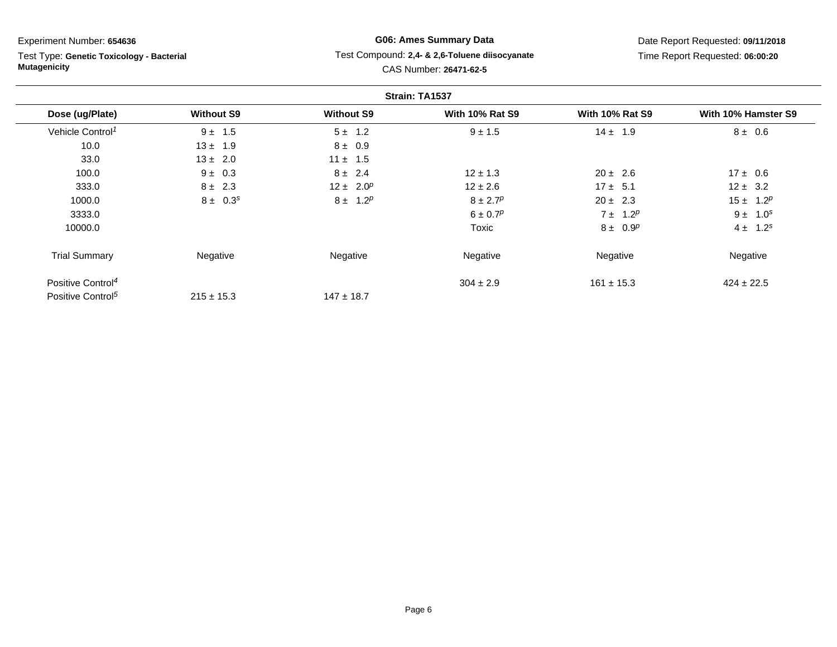Test Type: **Genetic Toxicology - Bacterial Mutagenicity**

# **G06: Ames Summary Data** Test Compound: **2,4- & 2,6-Toluene diisocyanate**CAS Number: **26471-62-5**

|                               |                   |                   | Strain: TA1537           |                        |                     |
|-------------------------------|-------------------|-------------------|--------------------------|------------------------|---------------------|
| Dose (ug/Plate)               | <b>Without S9</b> | <b>Without S9</b> | <b>With 10% Rat S9</b>   | <b>With 10% Rat S9</b> | With 10% Hamster S9 |
| Vehicle Control <sup>1</sup>  | $9 \pm 1.5$       | $5 \pm 1.2$       | $9 \pm 1.5$              | $14 \pm 1.9$           | $8 \pm 0.6$         |
| 10.0                          | $13 \pm 1.9$      | $8 \pm 0.9$       |                          |                        |                     |
| 33.0                          | $13 \pm 2.0$      | $11 \pm 1.5$      |                          |                        |                     |
| 100.0                         | $9 \pm 0.3$       | $8 \pm 2.4$       | $12 \pm 1.3$             | $20 \pm 2.6$           | $17 \pm 0.6$        |
| 333.0                         | $8 \pm 2.3$       | $12 \pm 2.0^p$    | $12 \pm 2.6$             | $17 \pm 5.1$           | $12 \pm 3.2$        |
| 1000.0                        | $8 \pm 0.3^s$     | $8 \pm 1.2^p$     | $8 \pm 2.7^p$            | $20 \pm 2.3$           | $15 \pm 1.2^p$      |
| 3333.0                        |                   |                   | $6 \pm 0.7$ <sup>p</sup> | $7 \pm 1.2^p$          | $9 \pm 1.0^s$       |
| 10000.0                       |                   |                   | Toxic                    | $8 \pm 0.9^p$          | $4 \pm 1.2^{s}$     |
| <b>Trial Summary</b>          | Negative          | Negative          | Negative                 | Negative               | Negative            |
| Positive Control <sup>4</sup> |                   |                   | $304 \pm 2.9$            | $161 \pm 15.3$         | $424 \pm 22.5$      |
| Positive Control <sup>5</sup> | $215 \pm 15.3$    | $147 \pm 18.7$    |                          |                        |                     |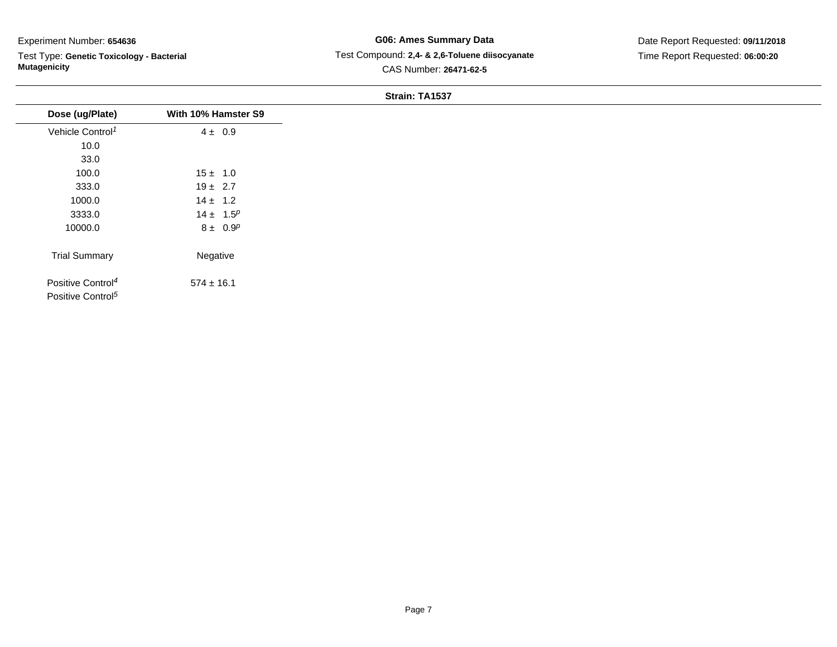Test Type: **Genetic Toxicology - Bacterial Mutagenicity**

## **G06: Ames Summary Data** Test Compound: **2,4- & 2,6-Toluene diisocyanate**CAS Number: **26471-62-5**

Date Report Requested: **09/11/2018**Time Report Requested: **06:00:20**

#### **Strain: TA1537**

|                                                                |                     | <b>UUGIII.</b> IAIJJI |
|----------------------------------------------------------------|---------------------|-----------------------|
| Dose (ug/Plate)                                                | With 10% Hamster S9 |                       |
| Vehicle Control <sup>1</sup>                                   | $4 \pm 0.9$         |                       |
| 10.0                                                           |                     |                       |
| 33.0                                                           |                     |                       |
| 100.0                                                          | $15 \pm 1.0$        |                       |
| 333.0                                                          | $19 \pm 2.7$        |                       |
| 1000.0                                                         | $14 \pm 1.2$        |                       |
| 3333.0                                                         | $14 \pm 1.5^p$      |                       |
| 10000.0                                                        | $8 \pm 0.9^p$       |                       |
| <b>Trial Summary</b>                                           | Negative            |                       |
| Positive Control <sup>4</sup><br>Positive Control <sup>5</sup> | $574 \pm 16.1$      |                       |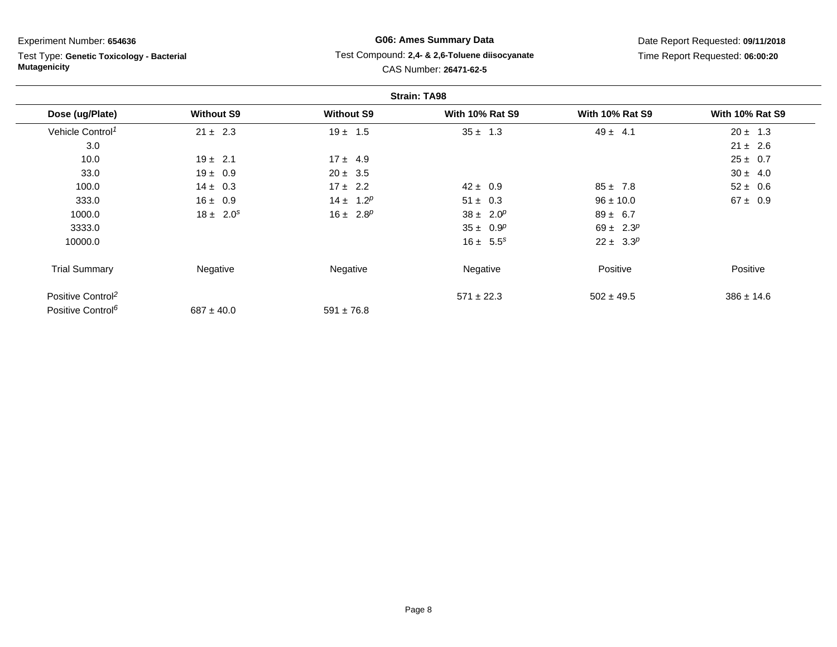Test Type: **Genetic Toxicology - Bacterial Mutagenicity**

# **G06: Ames Summary Data** Test Compound: **2,4- & 2,6-Toluene diisocyanate**CAS Number: **26471-62-5**

|                               |                   |                   | <b>Strain: TA98</b>    |                              |                        |
|-------------------------------|-------------------|-------------------|------------------------|------------------------------|------------------------|
| Dose (ug/Plate)               | <b>Without S9</b> | <b>Without S9</b> | <b>With 10% Rat S9</b> | <b>With 10% Rat S9</b>       | <b>With 10% Rat S9</b> |
| Vehicle Control <sup>1</sup>  | $21 \pm 2.3$      | $19 \pm 1.5$      | $35 \pm 1.3$           | $49 \pm 4.1$                 | $20 \pm 1.3$           |
| 3.0                           |                   |                   |                        |                              | $21 \pm 2.6$           |
| 10.0                          | $19 \pm 2.1$      | $17 \pm 4.9$      |                        |                              | $25 \pm 0.7$           |
| 33.0                          | $19 \pm 0.9$      | $20 \pm 3.5$      |                        |                              | $30 \pm 4.0$           |
| 100.0                         | $14 \pm 0.3$      | $17 \pm 2.2$      | $42 \pm 0.9$           | $85 \pm 7.8$                 | $52 \pm 0.6$           |
| 333.0                         | $16 \pm 0.9$      | $14 \pm 1.2^p$    | $51 \pm 0.3$           | $96 \pm 10.0$                | $67 \pm 0.9$           |
| 1000.0                        | $18 \pm 2.0^s$    | $16 \pm 2.8^p$    | $38 \pm 2.0^p$         | $89 \pm 6.7$                 |                        |
| 3333.0                        |                   |                   | $35 \pm 0.9^p$         | 69 ± 2.3 <sup><i>p</i></sup> |                        |
| 10000.0                       |                   |                   | $16 \pm 5.5^s$         | $22 \pm 3.3^p$               |                        |
| <b>Trial Summary</b>          | Negative          | Negative          | Negative               | Positive                     | Positive               |
| Positive Control <sup>2</sup> |                   |                   | $571 \pm 22.3$         | $502 \pm 49.5$               | $386 \pm 14.6$         |
| Positive Control <sup>6</sup> | $687 \pm 40.0$    | $591 \pm 76.8$    |                        |                              |                        |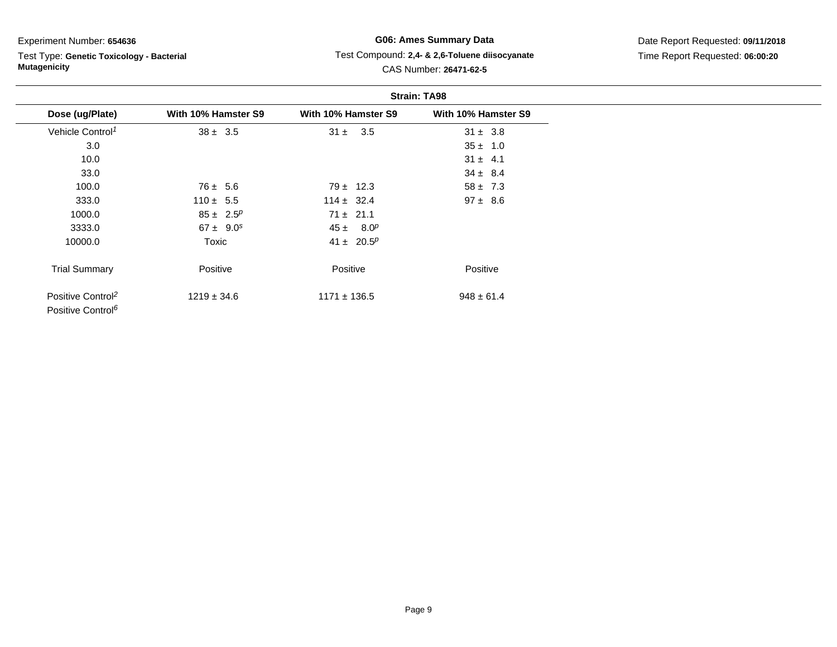Test Type: **Genetic Toxicology - Bacterial Mutagenicity**

# **G06: Ames Summary Data** Test Compound: **2,4- & 2,6-Toluene diisocyanate**CAS Number: **26471-62-5**

|                                                                |                     | <b>Strain: TA98</b>           |                     |  |
|----------------------------------------------------------------|---------------------|-------------------------------|---------------------|--|
| Dose (ug/Plate)                                                | With 10% Hamster S9 | With 10% Hamster S9           | With 10% Hamster S9 |  |
| Vehicle Control <sup>1</sup>                                   | $38 \pm 3.5$        | $31 \pm 3.5$                  | $31 \pm 3.8$        |  |
| 3.0                                                            |                     |                               | $35 \pm 1.0$        |  |
| 10.0                                                           |                     |                               | $31 \pm 4.1$        |  |
| 33.0                                                           |                     |                               | $34 \pm 8.4$        |  |
| 100.0                                                          | $76 \pm 5.6$        | $79 \pm 12.3$                 | $58 \pm 7.3$        |  |
| 333.0                                                          | $110 \pm 5.5$       | $114 \pm 32.4$                | $97 \pm 8.6$        |  |
| 1000.0                                                         | $85 \pm 2.5^p$      | $71 \pm 21.1$                 |                     |  |
| 3333.0                                                         | $67 \pm 9.0^s$      | $45 \pm 8.0^p$                |                     |  |
| 10000.0                                                        | Toxic               | 41 ± 20.5 <sup><i>p</i></sup> |                     |  |
| <b>Trial Summary</b>                                           | Positive            | Positive                      | Positive            |  |
| Positive Control <sup>2</sup><br>Positive Control <sup>6</sup> | $1219 \pm 34.6$     | $1171 \pm 136.5$              | $948 \pm 61.4$      |  |